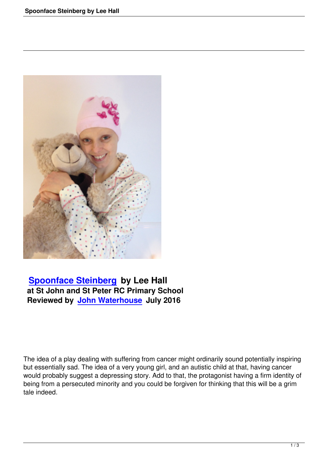

## **Spoonface Steinberg by Lee Hall at St John and St Peter RC Primary School [Reviewed by John Water](spoonface-steinberg-by-lee-hall.html)house July 2016**

The idea of a play dealing with suffering from cancer might ordinarily sound potentially inspiring but essentially sad. The idea of a very young girl, and an autistic child at that, having cancer would probably suggest a depressing story. Add to that, the protagonist having a firm identity of being from a persecuted minority and you could be forgiven for thinking that this will be a grim tale indeed.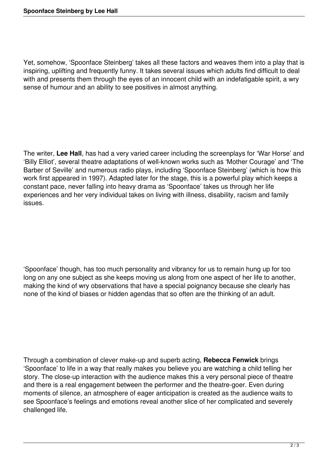Yet, somehow, 'Spoonface Steinberg' takes all these factors and weaves them into a play that is inspiring, uplifting and frequently funny. It takes several issues which adults find difficult to deal with and presents them through the eyes of an innocent child with an indefatigable spirit, a wry sense of humour and an ability to see positives in almost anything.

The writer, **Lee Hall**, has had a very varied career including the screenplays for 'War Horse' and 'Billy Elliot', several theatre adaptations of well-known works such as 'Mother Courage' and 'The Barber of Seville' and numerous radio plays, including 'Spoonface Steinberg' (which is how this work first appeared in 1997). Adapted later for the stage, this is a powerful play which keeps a constant pace, never falling into heavy drama as 'Spoonface' takes us through her life experiences and her very individual takes on living with illness, disability, racism and family issues.

'Spoonface' though, has too much personality and vibrancy for us to remain hung up for too long on any one subject as she keeps moving us along from one aspect of her life to another, making the kind of wry observations that have a special poignancy because she clearly has none of the kind of biases or hidden agendas that so often are the thinking of an adult.

Through a combination of clever make-up and superb acting, **Rebecca Fenwick** brings 'Spoonface' to life in a way that really makes you believe you are watching a child telling her story. The close-up interaction with the audience makes this a very personal piece of theatre and there is a real engagement between the performer and the theatre-goer. Even during moments of silence, an atmosphere of eager anticipation is created as the audience waits to see Spoonface's feelings and emotions reveal another slice of her complicated and severely challenged life.